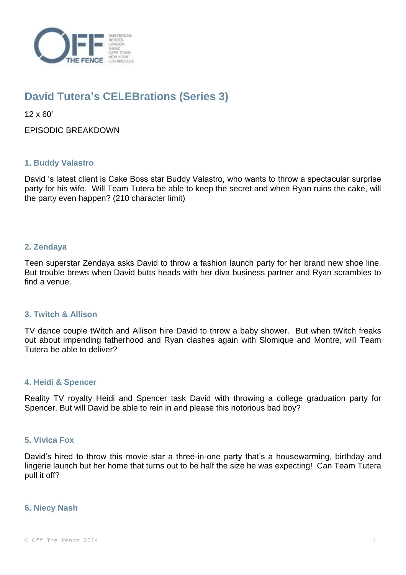

# **David Tutera's CELEBrations (Series 3)**

12 x 60'

EPISODIC BREAKDOWN

# **1. Buddy Valastro**

David 's latest client is Cake Boss star Buddy Valastro, who wants to throw a spectacular surprise party for his wife. Will Team Tutera be able to keep the secret and when Ryan ruins the cake, will the party even happen? (210 character limit)

# **2. Zendaya**

Teen superstar Zendaya asks David to throw a fashion launch party for her brand new shoe line. But trouble brews when David butts heads with her diva business partner and Ryan scrambles to find a venue.

## **3. Twitch & Allison**

TV dance couple tWitch and Allison hire David to throw a baby shower. But when tWitch freaks out about impending fatherhood and Ryan clashes again with Slomique and Montre, will Team Tutera be able to deliver?

## **4. Heidi & Spencer**

Reality TV royalty Heidi and Spencer task David with throwing a college graduation party for Spencer. But will David be able to rein in and please this notorious bad boy?

## **5. Vivica Fox**

David's hired to throw this movie star a three-in-one party that's a housewarming, birthday and lingerie launch but her home that turns out to be half the size he was expecting! Can Team Tutera pull it off?

#### **6. Niecy Nash**